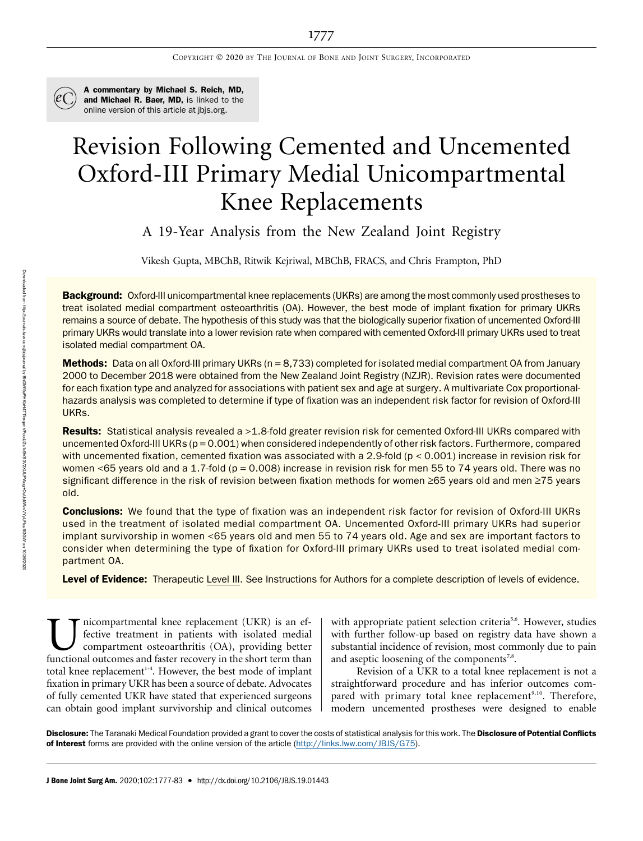

A commentary by Michael S. Reich, MD, and Michael R. Baer, MD, is linked to the online version of this article at [jbjs.org](http://jbjs.org).

# Revision Following Cemented and Uncemented Oxford-III Primary Medial Unicompartmental Knee Replacements

A 19-Year Analysis from the New Zealand Joint Registry

Vikesh Gupta, MBChB, Ritwik Kejriwal, MBChB, FRACS, and Chris Frampton, PhD

Background: Oxford-III unicompartmental knee replacements (UKRs) are among the most commonly used prostheses to treat isolated medial compartment osteoarthritis (OA). However, the best mode of implant fixation for primary UKRs remains a source of debate. The hypothesis of this study was that the biologically superior fixation of uncemented Oxford-III primary UKRs would translate into a lower revision rate when compared with cemented Oxford-III primary UKRs used to treat isolated medial compartment OA.

Methods: Data on all Oxford-III primary UKRs (n = 8,733) completed for isolated medial compartment OA from January 2000 to December 2018 were obtained from the New Zealand Joint Registry (NZJR). Revision rates were documented for each fixation type and analyzed for associations with patient sex and age at surgery. A multivariate Cox proportionalhazards analysis was completed to determine if type of fixation was an independent risk factor for revision of Oxford-III UKRs.

Results: Statistical analysis revealed a >1.8-fold greater revision risk for cemented Oxford-III UKRs compared with uncemented Oxford-III UKRs ( $p = 0.001$ ) when considered independently of other risk factors. Furthermore, compared with uncemented fixation, cemented fixation was associated with a 2.9-fold ( $p < 0.001$ ) increase in revision risk for women <65 years old and a 1.7-fold ( $p = 0.008$ ) increase in revision risk for men 55 to 74 years old. There was no significant difference in the risk of revision between fixation methods for women ≥65 years old and men ≥75 years old.

Conclusions: We found that the type of fixation was an independent risk factor for revision of Oxford-III UKRs used in the treatment of isolated medial compartment OA. Uncemented Oxford-III primary UKRs had superior implant survivorship in women <65 years old and men 55 to 74 years old. Age and sex are important factors to consider when determining the type of fixation for Oxford-III primary UKRs used to treat isolated medial compartment OA.

Level of Evidence: Therapeutic Level III. See Instructions for Authors for a complete description of levels of evidence.

Inicompartmental knee replacement (UKR) is an effective treatment in patients with isolated medial compartment osteoarthritis (OA), providing better functional outcomes and faster recovery in the short term than fective treatment in patients with isolated medial compartment osteoarthritis (OA), providing better functional outcomes and faster recovery in the short term than total knee replacement<sup>1-4</sup>. However, the best mode of implant fixation in primary UKR has been a source of debate. Advocates of fully cemented UKR have stated that experienced surgeons can obtain good implant survivorship and clinical outcomes

with appropriate patient selection criteria<sup>5,6</sup>. However, studies with further follow-up based on registry data have shown a substantial incidence of revision, most commonly due to pain and aseptic loosening of the components<sup>7,8</sup>.

Revision of a UKR to a total knee replacement is not a straightforward procedure and has inferior outcomes compared with primary total knee replacement<sup>9,10</sup>. Therefore, modern uncemented prostheses were designed to enable

Disclosure: The Taranaki Medical Foundation provided a grant to cover the costs of statistical analysis for this work. The Disclosure of Potential Conflicts of Interest forms are provided with the online version of the article ([http://links.lww.com/JBJS/G75\)](http://links.lww.com/JBJS/G75).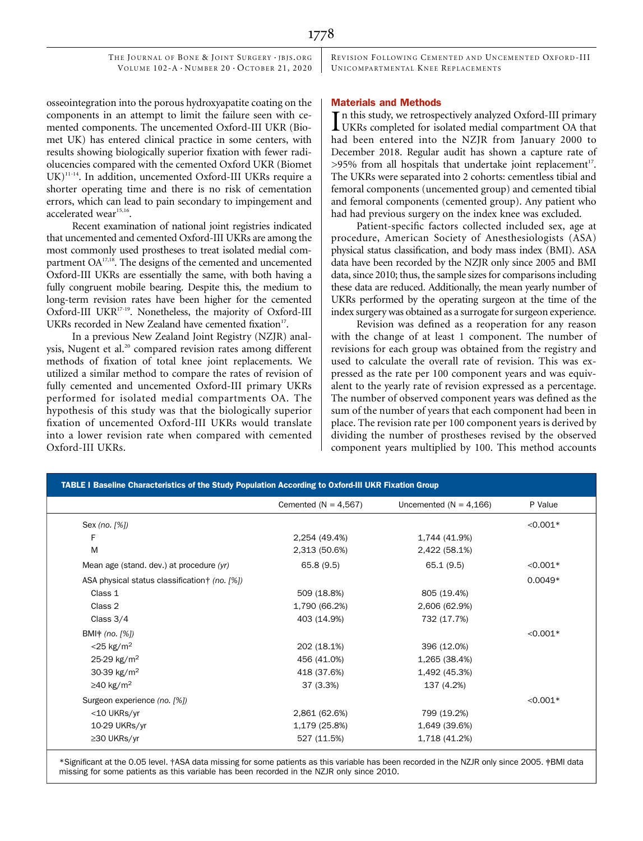REVISION FOLLOWING CEMENTED AND UNCEMENTED OXFORD -III UNICOMPARTMENTAL KNEE REPLACEMENTS

## osseointegration into the porous hydroxyapatite coating on the components in an attempt to limit the failure seen with cemented components. The uncemented Oxford-III UKR (Biomet UK) has entered clinical practice in some centers, with results showing biologically superior fixation with fewer radiolucencies compared with the cemented Oxford UKR (Biomet UK)<sup>11-14</sup>. In addition, uncemented Oxford-III UKRs require a shorter operating time and there is no risk of cementation errors, which can lead to pain secondary to impingement and

Recent examination of national joint registries indicated that uncemented and cemented Oxford-III UKRs are among the most commonly used prostheses to treat isolated medial compartment OA<sup>17,18</sup>. The designs of the cemented and uncemented Oxford-III UKRs are essentially the same, with both having a fully congruent mobile bearing. Despite this, the medium to long-term revision rates have been higher for the cemented Oxford-III UKR<sup>17-19</sup>. Nonetheless, the majority of Oxford-III UKRs recorded in New Zealand have cemented fixation<sup>17</sup>.

accelerated wear<sup>15,16</sup>.

In a previous New Zealand Joint Registry (NZJR) analysis, Nugent et al.<sup>20</sup> compared revision rates among different methods of fixation of total knee joint replacements. We utilized a similar method to compare the rates of revision of fully cemented and uncemented Oxford-III primary UKRs performed for isolated medial compartments OA. The hypothesis of this study was that the biologically superior fixation of uncemented Oxford-III UKRs would translate into a lower revision rate when compared with cemented Oxford-III UKRs.

### Materials and Methods

In this study, we retrospectively analyzed Oxford-III primary<br>UKRs completed for isolated medial compartment OA that  $\blacksquare$  n this study, we retrospectively analyzed Oxford-III primary had been entered into the NZJR from January 2000 to December 2018. Regular audit has shown a capture rate of  $>95\%$  from all hospitals that undertake joint replacement<sup>17</sup>. The UKRs were separated into 2 cohorts: cementless tibial and femoral components (uncemented group) and cemented tibial and femoral components (cemented group). Any patient who had had previous surgery on the index knee was excluded.

Patient-specific factors collected included sex, age at procedure, American Society of Anesthesiologists (ASA) physical status classification, and body mass index (BMI). ASA data have been recorded by the NZJR only since 2005 and BMI data, since 2010; thus, the sample sizes for comparisons including these data are reduced. Additionally, the mean yearly number of UKRs performed by the operating surgeon at the time of the index surgery was obtained as a surrogate for surgeon experience.

Revision was defined as a reoperation for any reason with the change of at least 1 component. The number of revisions for each group was obtained from the registry and used to calculate the overall rate of revision. This was expressed as the rate per 100 component years and was equivalent to the yearly rate of revision expressed as a percentage. The number of observed component years was defined as the sum of the number of years that each component had been in place. The revision rate per 100 component years is derived by dividing the number of prostheses revised by the observed component years multiplied by 100. This method accounts

|               | Uncemented ( $N = 4,166$ ) | P Value       |
|---------------|----------------------------|---------------|
|               |                            | $< 0.001*$    |
| 2,254 (49.4%) | 1,744 (41.9%)              |               |
| 2,313 (50.6%) | 2,422 (58.1%)              |               |
| 65.8(9.5)     | 65.1(9.5)                  | $< 0.001*$    |
|               |                            | $0.0049*$     |
| 509 (18.8%)   | 805 (19.4%)                |               |
| 1,790 (66.2%) | 2,606 (62.9%)              |               |
| 403 (14.9%)   | 732 (17.7%)                |               |
|               |                            | $< 0.001*$    |
| 202 (18.1%)   | 396 (12.0%)                |               |
| 456 (41.0%)   | 1,265 (38.4%)              |               |
| 418 (37.6%)   | 1,492 (45.3%)              |               |
| 37 (3.3%)     | 137 (4.2%)                 |               |
|               |                            | $< 0.001*$    |
| 2,861 (62.6%) | 799 (19.2%)                |               |
| 1,179 (25.8%) | 1,649 (39.6%)              |               |
|               | 527 (11.5%)                | 1,718 (41.2%) |

\*Significant at the 0.05 level. †ASA data missing for some patients as this variable has been recorded in the NZJR only since 2005. ‡BMI data missing for some patients as this variable has been recorded in the NZJR only since 2010.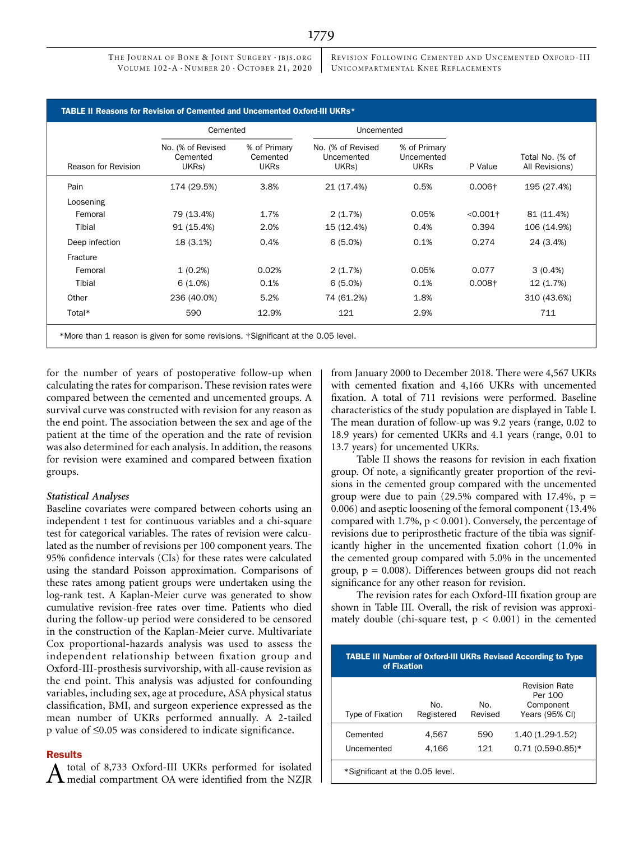REVISION FOLLOWING CEMENTED AND UNCEMENTED OXFORD -III UNICOMPARTMENTAL KNEE REPLACEMENTS

|                     | Cemented                               |                                         |                                          | Uncemented                                |                        |                                   |
|---------------------|----------------------------------------|-----------------------------------------|------------------------------------------|-------------------------------------------|------------------------|-----------------------------------|
| Reason for Revision | No. (% of Revised<br>Cemented<br>UKRs) | % of Primary<br>Cemented<br><b>UKRs</b> | No. (% of Revised<br>Uncemented<br>UKRs) | % of Primary<br>Uncemented<br><b>UKRs</b> | P Value                | Total No. (% of<br>All Revisions) |
| Pain                | 174 (29.5%)                            | 3.8%                                    | 21 (17.4%)                               | 0.5%                                      | $0.006\dagger$         | 195 (27.4%)                       |
| Loosening           |                                        |                                         |                                          |                                           |                        |                                   |
| Femoral             | 79 (13.4%)                             | 1.7%                                    | 2(1.7%)                                  | 0.05%                                     | $< 0.001$ <sup>+</sup> | 81 (11.4%)                        |
| Tibial              | 91 (15.4%)                             | 2.0%                                    | 15 (12.4%)                               | 0.4%                                      | 0.394                  | 106 (14.9%)                       |
| Deep infection      | 18 (3.1%)                              | 0.4%                                    | 6(5.0%)                                  | 0.1%                                      | 0.274                  | 24 (3.4%)                         |
| Fracture            |                                        |                                         |                                          |                                           |                        |                                   |
| Femoral             | $1(0.2\%)$                             | 0.02%                                   | 2(1.7%)                                  | 0.05%                                     | 0.077                  | $3(0.4\%)$                        |
| Tibial              | $6(1.0\%)$                             | 0.1%                                    | 6(5.0%)                                  | 0.1%                                      | $0.008+$               | 12 (1.7%)                         |
| Other               | 236 (40.0%)                            | 5.2%                                    | 74 (61.2%)                               | 1.8%                                      |                        | 310 (43.6%)                       |
| Total*              | 590                                    | 12.9%                                   | 121                                      | 2.9%                                      |                        | 711                               |

for the number of years of postoperative follow-up when calculating the rates for comparison. These revision rates were compared between the cemented and uncemented groups. A survival curve was constructed with revision for any reason as the end point. The association between the sex and age of the patient at the time of the operation and the rate of revision was also determined for each analysis. In addition, the reasons for revision were examined and compared between fixation groups.

## Statistical Analyses

Baseline covariates were compared between cohorts using an independent t test for continuous variables and a chi-square test for categorical variables. The rates of revision were calculated as the number of revisions per 100 component years. The 95% confidence intervals (CIs) for these rates were calculated using the standard Poisson approximation. Comparisons of these rates among patient groups were undertaken using the log-rank test. A Kaplan-Meier curve was generated to show cumulative revision-free rates over time. Patients who died during the follow-up period were considered to be censored in the construction of the Kaplan-Meier curve. Multivariate Cox proportional-hazards analysis was used to assess the independent relationship between fixation group and Oxford-III-prosthesis survivorship, with all-cause revision as the end point. This analysis was adjusted for confounding variables, including sex, age at procedure, ASA physical status classification, BMI, and surgeon experience expressed as the mean number of UKRs performed annually. A 2-tailed  $p$  value of  $\leq 0.05$  was considered to indicate significance.

#### Results

 $A$  total of 8,733 Oxford-III UKRs performed for isolated medial compartment OA were identified from the NZJR

from January 2000 to December 2018. There were 4,567 UKRs with cemented fixation and 4,166 UKRs with uncemented fixation. A total of 711 revisions were performed. Baseline characteristics of the study population are displayed in Table I. The mean duration of follow-up was 9.2 years (range, 0.02 to 18.9 years) for cemented UKRs and 4.1 years (range, 0.01 to 13.7 years) for uncemented UKRs.

Table II shows the reasons for revision in each fixation group. Of note, a significantly greater proportion of the revisions in the cemented group compared with the uncemented group were due to pain (29.5% compared with 17.4%,  $p =$ 0.006) and aseptic loosening of the femoral component (13.4% compared with  $1.7\%$ ,  $p < 0.001$ ). Conversely, the percentage of revisions due to periprosthetic fracture of the tibia was significantly higher in the uncemented fixation cohort (1.0% in the cemented group compared with 5.0% in the uncemented group,  $p = 0.008$ ). Differences between groups did not reach significance for any other reason for revision.

The revision rates for each Oxford-III fixation group are shown in Table III. Overall, the risk of revision was approximately double (chi-square test,  $p < 0.001$ ) in the cemented

| <b>TABLE III Number of Oxford-III UKRs Revised According to Type</b><br>of Fixation |                   |                |                                                                |  |
|-------------------------------------------------------------------------------------|-------------------|----------------|----------------------------------------------------------------|--|
| <b>Type of Fixation</b>                                                             | No.<br>Registered | No.<br>Revised | <b>Revision Rate</b><br>Per 100<br>Component<br>Years (95% CI) |  |
| Cemented<br>Uncemented                                                              | 4.567<br>4.166    | 590<br>121     | $1.40(1.29-1.52)$<br>$0.71(0.59-0.85)$ *                       |  |
| *Significant at the 0.05 level.                                                     |                   |                |                                                                |  |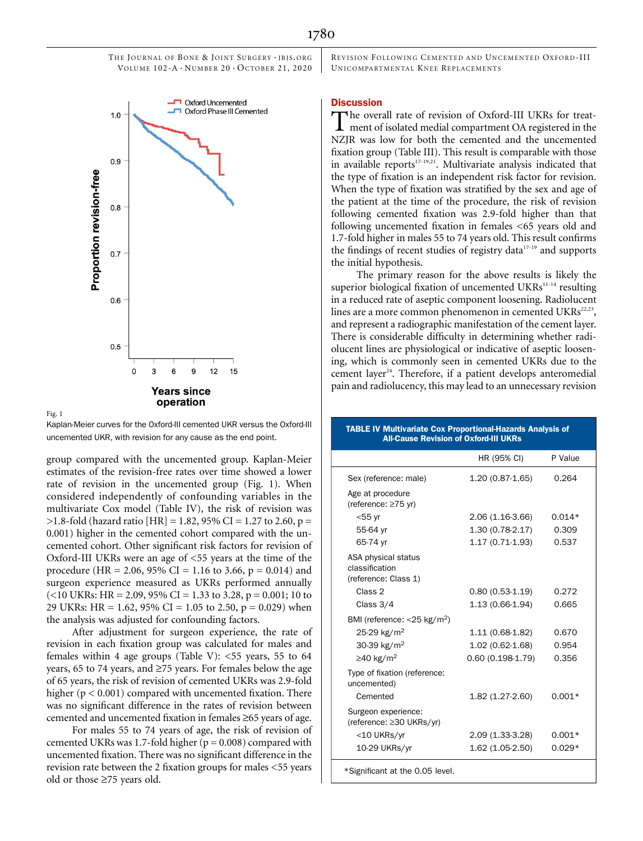

Kaplan-Meier curves for the Oxford-III cemented UKR versus the Oxford-III uncemented UKR, with revision for any cause as the end point.

Fig. 1

group compared with the uncemented group. Kaplan-Meier estimates of the revision-free rates over time showed a lower rate of revision in the uncemented group (Fig. 1). When considered independently of confounding variables in the multivariate Cox model (Table IV), the risk of revision was  $>1.8$ -fold (hazard ratio [HR] = 1.82, 95% CI = 1.27 to 2.60, p = 0.001) higher in the cemented cohort compared with the uncemented cohort. Other significant risk factors for revision of Oxford-III UKRs were an age of <55 years at the time of the procedure (HR = 2.06, 95% CI = 1.16 to 3.66, p = 0.014) and surgeon experience measured as UKRs performed annually  $(<10$  UKRs: HR = 2.09, 95% CI = 1.33 to 3.28, p = 0.001; 10 to 29 UKRs: HR = 1.62, 95% CI = 1.05 to 2.50,  $p = 0.029$ ) when the analysis was adjusted for confounding factors.

After adjustment for surgeon experience, the rate of revision in each fixation group was calculated for males and females within 4 age groups (Table V):  $<$  55 years, 55 to 64 years, 65 to 74 years, and  $\geq$ 75 years. For females below the age of 65 years, the risk of revision of cemented UKRs was 2.9-fold higher ( $p < 0.001$ ) compared with uncemented fixation. There was no significant difference in the rates of revision between cemented and uncemented fixation in females  $\geq 65$  years of age.

For males 55 to 74 years of age, the risk of revision of cemented UKRs was 1.7-fold higher ( $p = 0.008$ ) compared with uncemented fixation. There was no significant difference in the revision rate between the 2 fixation groups for males <55 years old or those  $\geq 75$  years old.

REVISION FOLLOWING CEMENTED AND UNCEMENTED OXFORD -III UNICOMPARTMENTAL KNEE REPLACEMENTS

### **Discussion**

The overall rate of revision of Oxford-III UKRs for treat-<br>ment of isolated medial compartment OA registered in the NZJR was low for both the cemented and the uncemented fixation group (Table III). This result is comparable with those in available reports<sup>17-19,21</sup>. Multivariate analysis indicated that the type of fixation is an independent risk factor for revision. When the type of fixation was stratified by the sex and age of the patient at the time of the procedure, the risk of revision following cemented fixation was 2.9-fold higher than that following uncemented fixation in females <65 years old and 1.7-fold higher in males 55 to 74 years old. This result confirms the findings of recent studies of registry data $17-19$  and supports the initial hypothesis.

The primary reason for the above results is likely the superior biological fixation of uncemented UKRs<sup>11-14</sup> resulting in a reduced rate of aseptic component loosening. Radiolucent lines are a more common phenomenon in cemented UKRs<sup>22,23</sup>, and represent a radiographic manifestation of the cement layer. There is considerable difficulty in determining whether radiolucent lines are physiological or indicative of aseptic loosening, which is commonly seen in cemented UKRs due to the cement layer<sup>24</sup>. Therefore, if a patient develops anteromedial pain and radiolucency, this may lead to an unnecessary revision

#### TABLE IV Multivariate Cox Proportional-Hazards Analysis of All-Cause Revision of Oxford-III UKRs

|                                                               | HR (95% CI)        | P Value  |
|---------------------------------------------------------------|--------------------|----------|
| Sex (reference: male)                                         | $1.20(0.87-1.65)$  | 0.264    |
| Age at procedure<br>(reference: ≥75 yr)                       |                    |          |
| $<$ 55 yr                                                     | 2.06 (1.16-3.66)   | $0.014*$ |
| 55-64 yr                                                      | 1.30 (0.78-2.17)   | 0.309    |
| 65-74 yr                                                      | 1.17 (0.71-1.93)   | 0.537    |
| ASA physical status<br>classification<br>(reference: Class 1) |                    |          |
| Class <sub>2</sub>                                            | $0.80(0.53-1.19)$  | 0.272    |
| Class 3/4                                                     | 1.13 (0.66-1.94)   | 0.665    |
| BMI (reference: $<$ 25 kg/m <sup>2</sup> )                    |                    |          |
| 25-29 kg/m <sup>2</sup>                                       | 1.11 (0.68-1.82)   | 0.670    |
| 30-39 kg/m <sup>2</sup>                                       | 1.02 (0.62-1.68)   | 0.954    |
| $\geq$ 40 kg/m <sup>2</sup>                                   | $0.60(0.198-1.79)$ | 0.356    |
| Type of fixation (reference:<br>uncemented)                   |                    |          |
| Cemented                                                      | 1.82 (1.27-2.60)   | $0.001*$ |
| Surgeon experience:<br>(reference: ≥30 UKRs/yr)               |                    |          |
| <10 UKRs/yr                                                   | 2.09 (1.33-3.28)   | $0.001*$ |
| 10-29 UKRs/yr                                                 | 1.62 (1.05-2.50)   | $0.029*$ |
|                                                               |                    |          |

\*Significant at the 0.05 level.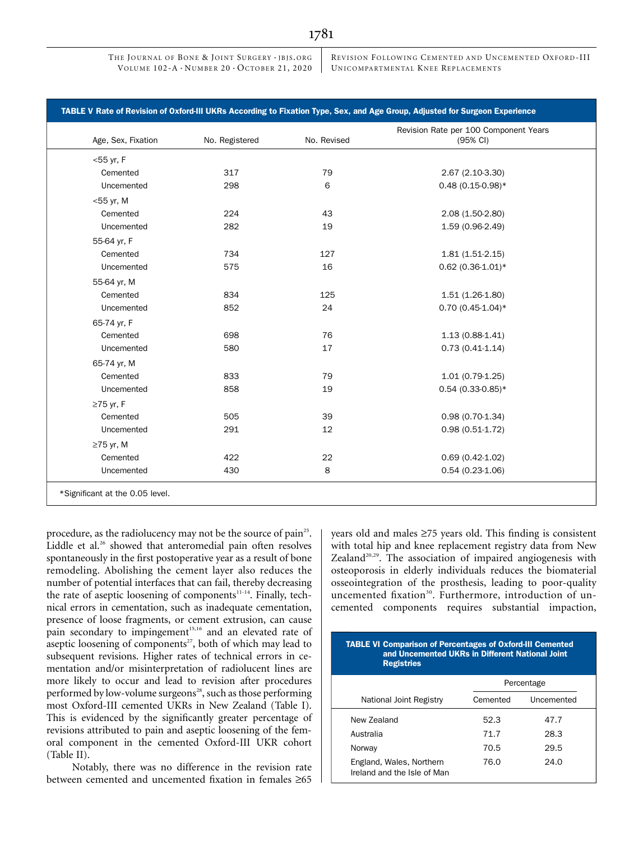REVISION FOLLOWING CEMENTED AND UNCEMENTED OXFORD -III UNICOMPARTMENTAL KNEE REPLACEMENTS

| Age, Sex, Fixation | No. Registered | No. Revised | Revision Rate per 100 Component Years<br>(95% CI) |
|--------------------|----------------|-------------|---------------------------------------------------|
| $<$ 55 yr, F       |                |             |                                                   |
| Cemented           | 317            | 79          | 2.67 (2.10-3.30)                                  |
| Uncemented         | 298            | 6           | $0.48(0.15-0.98)*$                                |
| $<$ 55 yr, M       |                |             |                                                   |
| Cemented           | 224            | 43          | 2.08 (1.50-2.80)                                  |
| Uncemented         | 282            | 19          | 1.59 (0.96-2.49)                                  |
| 55-64 yr, F        |                |             |                                                   |
| Cemented           | 734            | 127         | $1.81(1.51-2.15)$                                 |
| Uncemented         | 575            | 16          | $0.62(0.36 - 1.01)*$                              |
| 55-64 yr, M        |                |             |                                                   |
| Cemented           | 834            | 125         | $1.51(1.26-1.80)$                                 |
| Uncemented         | 852            | 24          | $0.70(0.45-1.04)$ *                               |
| 65-74 yr, F        |                |             |                                                   |
| Cemented           | 698            | 76          | $1.13(0.88-1.41)$                                 |
| Uncemented         | 580            | 17          | $0.73(0.41-1.14)$                                 |
| 65-74 yr, M        |                |             |                                                   |
| Cemented           | 833            | 79          | $1.01(0.79-1.25)$                                 |
| Uncemented         | 858            | 19          | $0.54(0.33-0.85)*$                                |
| $\geq$ 75 yr, F    |                |             |                                                   |
| Cemented           | 505            | 39          | $0.98(0.70-1.34)$                                 |
| Uncemented         | 291            | 12          | $0.98(0.51-1.72)$                                 |
| $\geq$ 75 yr, M    |                |             |                                                   |
| Cemented           | 422            | 22          | $0.69(0.42-1.02)$                                 |
| Uncemented         | 430            | 8           | $0.54(0.23-1.06)$                                 |

procedure, as the radiolucency may not be the source of pain<sup>25</sup>. Liddle et al.<sup>26</sup> showed that anteromedial pain often resolves spontaneously in the first postoperative year as a result of bone remodeling. Abolishing the cement layer also reduces the number of potential interfaces that can fail, thereby decreasing the rate of aseptic loosening of components<sup>11-14</sup>. Finally, technical errors in cementation, such as inadequate cementation, presence of loose fragments, or cement extrusion, can cause pain secondary to impingement<sup>15,16</sup> and an elevated rate of aseptic loosening of components<sup>27</sup>, both of which may lead to subsequent revisions. Higher rates of technical errors in cementation and/or misinterpretation of radiolucent lines are more likely to occur and lead to revision after procedures performed by low-volume surgeons<sup>28</sup>, such as those performing most Oxford-III cemented UKRs in New Zealand (Table I). This is evidenced by the significantly greater percentage of revisions attributed to pain and aseptic loosening of the femoral component in the cemented Oxford-III UKR cohort (Table II).

Notably, there was no difference in the revision rate between cemented and uncemented fixation in females  $\geq 65$  years old and males  $\geq$ 75 years old. This finding is consistent with total hip and knee replacement registry data from New Zealand $20,29$ . The association of impaired angiogenesis with osteoporosis in elderly individuals reduces the biomaterial osseointegration of the prosthesis, leading to poor-quality uncemented fixation<sup>30</sup>. Furthermore, introduction of uncemented components requires substantial impaction,

| <b>TABLE VI Comparison of Percentages of Oxford-III Cemented</b><br>and Uncemented UKRs in Different National Joint<br><b>Registries</b> |            |            |  |  |
|------------------------------------------------------------------------------------------------------------------------------------------|------------|------------|--|--|
|                                                                                                                                          | Percentage |            |  |  |
| National Joint Registry                                                                                                                  | Cemented   | Uncemented |  |  |
| New Zealand                                                                                                                              | 52.3       | 47.7       |  |  |
| Australia                                                                                                                                | 71.7       | 28.3       |  |  |
| Norway                                                                                                                                   | 70.5       | 29.5       |  |  |
| England, Wales, Northern<br>Ireland and the Isle of Man                                                                                  | 76.0       | 24.0       |  |  |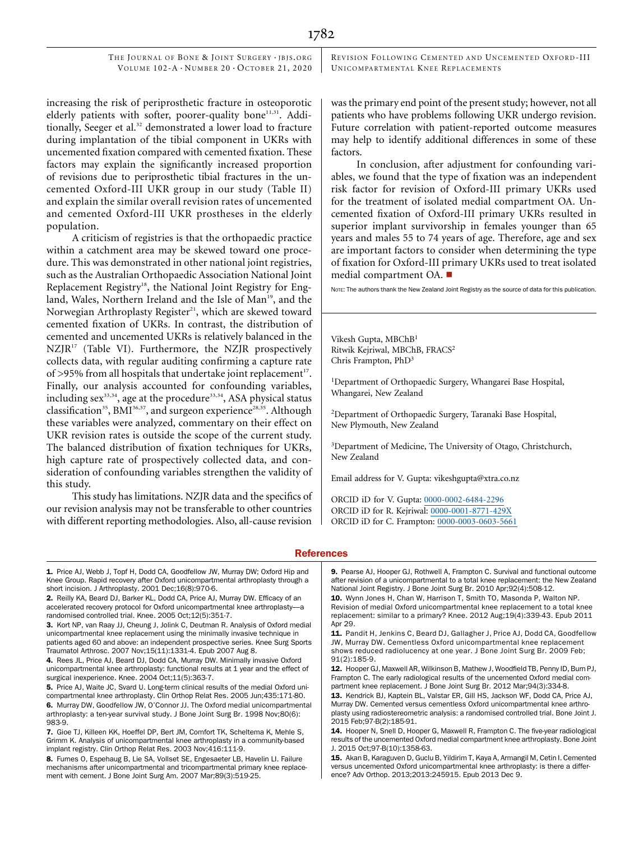REVISION FOLLOWING CEMENTED AND UNCEMENTED OXFORD -III UNICOMPARTMENTAL KNEE REPLACEMENTS

increasing the risk of periprosthetic fracture in osteoporotic elderly patients with softer, poorer-quality bone<sup>11,31</sup>. Additionally, Seeger et al.<sup>32</sup> demonstrated a lower load to fracture during implantation of the tibial component in UKRs with uncemented fixation compared with cemented fixation. These factors may explain the significantly increased proportion of revisions due to periprosthetic tibial fractures in the uncemented Oxford-III UKR group in our study (Table II) and explain the similar overall revision rates of uncemented and cemented Oxford-III UKR prostheses in the elderly population.

A criticism of registries is that the orthopaedic practice within a catchment area may be skewed toward one procedure. This was demonstrated in other national joint registries, such as the Australian Orthopaedic Association National Joint Replacement Registry<sup>18</sup>, the National Joint Registry for England, Wales, Northern Ireland and the Isle of Man<sup>19</sup>, and the Norwegian Arthroplasty Register<sup>21</sup>, which are skewed toward cemented fixation of UKRs. In contrast, the distribution of cemented and uncemented UKRs is relatively balanced in the  $NZJR<sup>17</sup>$  (Table VI). Furthermore, the NZJR prospectively collects data, with regular auditing confirming a capture rate of >95% from all hospitals that undertake joint replacement<sup>17</sup>. Finally, our analysis accounted for confounding variables, including sex<sup>33,34</sup>, age at the procedure<sup>33,34</sup>, ASA physical status classification<sup>35</sup>, BMI<sup>36,37</sup>, and surgeon experience<sup>28,35</sup>. Although these variables were analyzed, commentary on their effect on UKR revision rates is outside the scope of the current study. The balanced distribution of fixation techniques for UKRs, high capture rate of prospectively collected data, and consideration of confounding variables strengthen the validity of this study.

This study has limitations. NZJR data and the specifics of our revision analysis may not be transferable to other countries with different reporting methodologies. Also, all-cause revision

was the primary end point of the present study; however, not all patients who have problems following UKR undergo revision. Future correlation with patient-reported outcome measures may help to identify additional differences in some of these factors.

In conclusion, after adjustment for confounding variables, we found that the type of fixation was an independent risk factor for revision of Oxford-III primary UKRs used for the treatment of isolated medial compartment OA. Uncemented fixation of Oxford-III primary UKRs resulted in superior implant survivorship in females younger than 65 years and males 55 to 74 years of age. Therefore, age and sex are important factors to consider when determining the type of fixation for Oxford-III primary UKRs used to treat isolated medial compartment OA.  $\blacksquare$ 

NOTE: The authors thank the New Zealand Joint Registry as the source of data for this publication.

Vikesh Gupta, MBChB<sup>1</sup> Ritwik Kejriwal, MBChB, FRACS<sup>2</sup> Chris Frampton, PhD<sup>3</sup>

1 Department of Orthopaedic Surgery, Whangarei Base Hospital, Whangarei, New Zealand

2 Department of Orthopaedic Surgery, Taranaki Base Hospital, New Plymouth, New Zealand

<sup>3</sup>Department of Medicine, The University of Otago, Christchurch, New Zealand

Email address for V. Gupta: [vikeshgupta@xtra.co.nz](mailto:vikeshgupta@xtra.co.nz)

ORCID iD for V. Gupta: [0000-0002-6484-2296](http://orcid.org/0000-0002-6484-2296) ORCID iD for R. Kejriwal: [0000-0001-8771-429X](http://orcid.org/0000-0001-8771-429X) ORCID iD for C. Frampton: [0000-0003-0603-5661](http://orcid.org/0000-0003-0603-5661)

#### **References**

1. Price AJ, Webb J, Topf H, Dodd CA, Goodfellow JW, Murray DW; Oxford Hip and Knee Group. Rapid recovery after Oxford unicompartmental arthroplasty through a short incision. J Arthroplasty. 2001 Dec;16(8):970-6.

2. Reilly KA, Beard DJ, Barker KL, Dodd CA, Price AJ, Murray DW. Efficacy of an accelerated recovery protocol for Oxford unicompartmental knee arthroplasty—a randomised controlled trial. Knee. 2005 Oct;12(5):351-7.

3. Kort NP, van Raay JJ, Cheung J, Jolink C, Deutman R. Analysis of Oxford medial unicompartmental knee replacement using the minimally invasive technique in patients aged 60 and above: an independent prospective series. Knee Surg Sports Traumatol Arthrosc. 2007 Nov;15(11):1331-4. Epub 2007 Aug 8.

4. Rees JL, Price AJ, Beard DJ, Dodd CA, Murray DW. Minimally invasive Oxford unicompartmental knee arthroplasty: functional results at 1 year and the effect of surgical inexperience. Knee. 2004 Oct;11(5):363-7.

5. Price AJ, Waite JC, Svard U. Long-term clinical results of the medial Oxford unicompartmental knee arthroplasty. Clin Orthop Relat Res. 2005 Jun;435:171-80. 6. Murray DW, Goodfellow JW, O'Connor JJ. The Oxford medial unicompartmental arthroplasty: a ten-year survival study. J Bone Joint Surg Br. 1998 Nov;80(6): 983-9.

7. Gioe TJ, Killeen KK, Hoeffel DP, Bert JM, Comfort TK, Scheltema K, Mehle S, Grimm K. Analysis of unicompartmental knee arthroplasty in a community-based implant registry. Clin Orthop Relat Res. 2003 Nov;416:111-9.

8. Furnes O, Espehaug B, Lie SA, Vollset SE, Engesaeter LB, Havelin LI. Failure mechanisms after unicompartmental and tricompartmental primary knee replacement with cement. J Bone Joint Surg Am. 2007 Mar;89(3):519-25.

9. Pearse AJ, Hooper GJ, Rothwell A, Frampton C. Survival and functional outcome after revision of a unicompartmental to a total knee replacement: the New Zealand National Joint Registry. J Bone Joint Surg Br. 2010 Apr;92(4):508-12.

10. Wynn Jones H, Chan W, Harrison T, Smith TO, Masonda P, Walton NP. Revision of medial Oxford unicompartmental knee replacement to a total knee replacement: similar to a primary? Knee. 2012 Aug;19(4):339-43. Epub 2011 Apr 29.

11. Pandit H, Jenkins C, Beard DJ, Gallagher J, Price AJ, Dodd CA, Goodfellow JW, Murray DW. Cementless Oxford unicompartmental knee replacement shows reduced radiolucency at one year. J Bone Joint Surg Br. 2009 Feb; 91(2):185-9.

12. Hooper GJ, Maxwell AR, Wilkinson B, Mathew J, Woodfield TB, Penny ID, Burn PJ, Frampton C. The early radiological results of the uncemented Oxford medial compartment knee replacement. J Bone Joint Surg Br. 2012 Mar;94(3):334-8.

13. Kendrick BJ, Kaptein BL, Valstar ER, Gill HS, Jackson WF, Dodd CA, Price AJ, Murray DW. Cemented versus cementless Oxford unicompartmental knee arthroplasty using radiostereometric analysis: a randomised controlled trial. Bone Joint J. 2015 Feb;97-B(2):185-91.

14. Hooper N, Snell D, Hooper G, Maxwell R, Frampton C. The five-year radiological results of the uncemented Oxford medial compartment knee arthroplasty. Bone Joint J. 2015 Oct;97-B(10):1358-63.

15. Akan B, Karaguven D, Guclu B, Yildirim T, Kaya A, Armangil M, Cetin I. Cemented versus uncemented Oxford unicompartmental knee arthroplasty: is there a difference? Adv Orthop. 2013;2013:245915. Epub 2013 Dec 9.